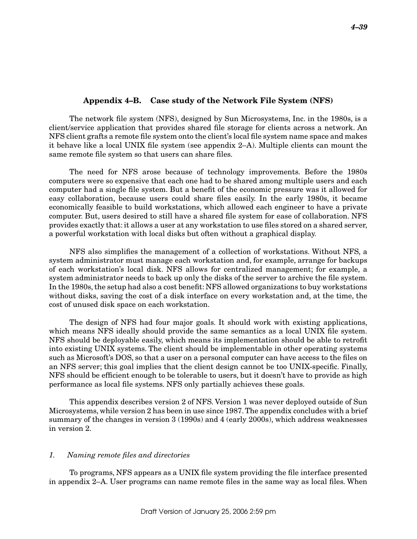## Appendix 4–B. Case study of the Network File System (NFS)

The network file system (NFS), designed by Sun Microsystems, Inc. in the 1980s, is a client/service application that provides shared file storage for clients across a network. An NFS client grafts a remote file system onto the client's local file system name space and makes it behave like a local UNIX file system (see appendix 2–A). Multiple clients can mount the same remote file system so that users can share files.

The need for NFS arose because of technology improvements. Before the 1980s computers were so expensive that each one had to be shared among multiple users and each computer had a single file system. But a benefit of the economic pressure was it allowed for easy collaboration, because users could share files easily. In the early 1980s, it became economically feasible to build workstations, which allowed each engineer to have a private computer. But, users desired to still have a shared file system for ease of collaboration. NFS provides exactly that: it allows a user at any workstation to use files stored on a shared server, a powerful workstation with local disks but often without a graphical display.

NFS also simplifies the management of a collection of workstations. Without NFS, a system administrator must manage each workstation and, for example, arrange for backups of each workstation's local disk. NFS allows for centralized management; for example, a system administrator needs to back up only the disks of the server to archive the file system. In the 1980s, the setup had also a cost benefit: NFS allowed organizations to buy workstations without disks, saving the cost of a disk interface on every workstation and, at the time, the cost of unused disk space on each workstation.

The design of NFS had four major goals. It should work with existing applications, which means NFS ideally should provide the same semantics as a local UNIX file system. NFS should be deployable easily, which means its implementation should be able to retrofit into existing UNIX systems. The client should be implementable in other operating systems such as Microsoft's DOS, so that a user on a personal computer can have access to the files on an NFS server; this goal implies that the client design cannot be too UNIX-specific. Finally, NFS should be efficient enough to be tolerable to users, but it doesn't have to provide as high performance as local file systems. NFS only partially achieves these goals.

This appendix describes version 2 of NFS. Version 1 was never deployed outside of Sun Microsystems, while version 2 has been in use since 1987. The appendix concludes with a brief summary of the changes in version 3 (1990s) and 4 (early 2000s), which address weaknesses in version 2.

## 1. Naming remote files and directories

To programs, NFS appears as a UNIX file system providing the file interface presented in appendix 2–A. User programs can name remote files in the same way as local files. When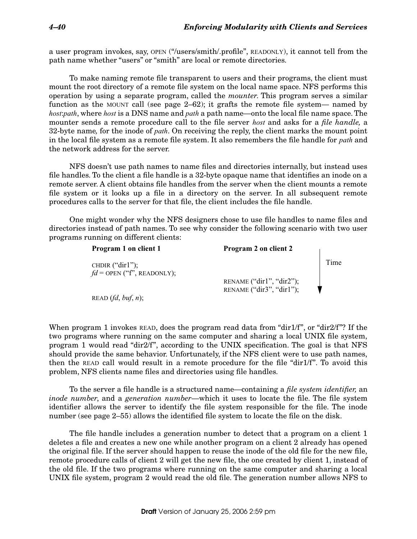a user program invokes, say, OPEN ("/users/smith/.profile", READONLY), it cannot tell from the path name whether "users" or "smith" are local or remote directories.

To make naming remote file transparent to users and their programs, the client must mount the root directory of a remote file system on the local name space. NFS performs this operation by using a separate program, called the mounter. This program serves a similar function as the MOUNT call (see page  $2-62$ ); it grafts the remote file system— named by host:*path*, where host is a DNS name and *path* a path name—onto the local file name space. The mounter sends a remote procedure call to the file server *host* and asks for a *file handle*, a 32-byte name, for the inode of *path*. On receiving the reply, the client marks the mount point in the local file system as a remote file system. It also remembers the file handle for *path* and the network address for the server.

NFS doesn't use path names to name files and directories internally, but instead uses file handles. To the client a file handle is a 32-byte opaque name that identifies an inode on a remote server. A client obtains file handles from the server when the client mounts a remote file system or it looks up a file in a directory on the server. In all subsequent remote procedures calls to the server for that file, the client includes the file handle.

One might wonder why the NFS designers chose to use file handles to name files and directories instead of path names. To see why consider the following scenario with two user programs running on different clients:

| Program 1 on client 1                             | Program 2 on client 2                                  |      |
|---------------------------------------------------|--------------------------------------------------------|------|
| CHDIR $("dir1");$<br>$fd =$ OPEN ("f", READONLY); |                                                        | Time |
|                                                   | RENAME $("dir1", "dir2");$<br>RENAME ("dir3", "dir1"); |      |
| READ $(fd, but, n);$                              |                                                        |      |

When program 1 invokes READ, does the program read data from "dir1/f", or "dir2/f"? If the two programs where running on the same computer and sharing a local UNIX file system, program 1 would read "dir2/f", according to the UNIX specification. The goal is that NFS should provide the same behavior. Unfortunately, if the NFS client were to use path names, then the READ call would result in a remote procedure for the file "dir1/f". To avoid this problem, NFS clients name files and directories using file handles.

To the server a file handle is a structured name—containing a *file system identifier*, an inode number, and a generation number—which it uses to locate the file. The file system identifier allows the server to identify the file system responsible for the file. The inode number (see page 2–55) allows the identified file system to locate the file on the disk.

The file handle includes a generation number to detect that a program on a client 1 deletes a file and creates a new one while another program on a client 2 already has opened the original file. If the server should happen to reuse the inode of the old file for the new file, remote procedure calls of client 2 will get the new file, the one created by client 1, instead of the old file. If the two programs where running on the same computer and sharing a local UNIX file system, program 2 would read the old file. The generation number allows NFS to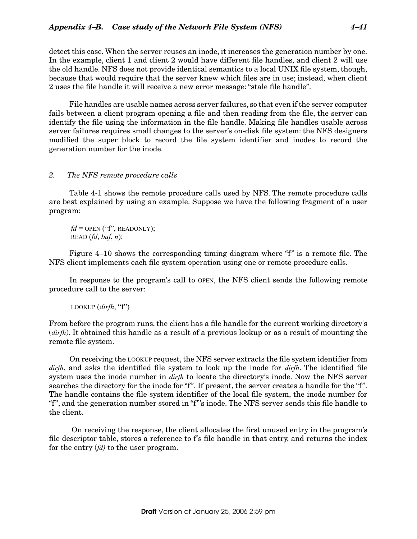detect this case. When the server reuses an inode, it increases the generation number by one. In the example, client 1 and client 2 would have different file handles, and client 2 will use the old handle. NFS does not provide identical semantics to a local UNIX file system, though, because that would require that the server knew which files are in use; instead, when client 2 uses the file handle it will receive a new error message: "stale file handle".

File handles are usable names across server failures, so that even if the server computer fails between a client program opening a file and then reading from the file, the server can identify the file using the information in the file handle. Making file handles usable across server failures requires small changes to the server's on-disk file system: the NFS designers modified the super block to record the file system identifier and inodes to record the generation number for the inode.

## 2. The NFS remote procedure calls

Table 4-1 shows the remote procedure calls used by NFS. The remote procedure calls are best explained by using an example. Suppose we have the following fragment of a user program:

 $fd =$  OPEN ("f", READONLY); READ  $(fd, but, n)$ ;

Figure 4–10 shows the corresponding timing diagram where "f" is a remote file. The NFS client implements each file system operation using one or remote procedure calls.

In response to the program's call to OPEN, the NFS client sends the following remote procedure call to the server:

LOOKUP (dirfh, "f")

From before the program runs, the client has a file handle for the current working directory's  $(dirfh)$ . It obtained this handle as a result of a previous lookup or as a result of mounting the remote file system.

On receiving the LOOKUP request, the NFS server extracts the file system identifier from  $dirth$ , and asks the identified file system to look up the inode for  $dirth$ . The identified file system uses the inode number in *dirfh* to locate the directory's inode. Now the NFS server searches the directory for the inode for "f". If present, the server creates a handle for the "f". The handle contains the file system identifier of the local file system, the inode number for "f", and the generation number stored in "f"'s inode. The NFS server sends this file handle to the client.

 On receiving the response, the client allocates the first unused entry in the program's file descriptor table, stores a reference to f's file handle in that entry, and returns the index for the entry  $(id)$  to the user program.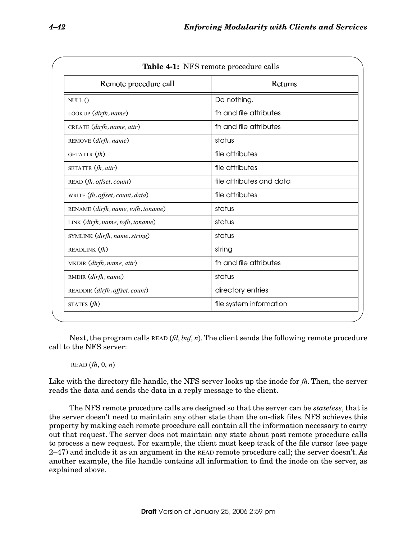| Remote procedure call              | Returns                  |
|------------------------------------|--------------------------|
| NULL()                             | Do nothing.              |
| LOOKUP (dirfh, name)               | fh and file attributes   |
| CREATE (dirfh, name, attr)         | fh and file attributes   |
| REMOVE (dirfh, name)               | status                   |
| GETATTR $(h)$                      | file attributes          |
| SETATTR (fh, attr)                 | file attributes          |
| READ (fh, offset, count)           | file attributes and data |
| WRITE (fh, offset, count, data)    | file attributes          |
| RENAME (dirfh, name, tofh, toname) | status                   |
| LINK (dirfh, name, tofh, toname)   | status                   |
| SYMLINK (dirfh, name, string)      | status                   |
| READLINK $(fh)$                    | string                   |
| MKDIR (dirfh, name, attr)          | fh and file attributes   |
| RMDIR (dirfh, name)                | status                   |
| READDIR (dirfh, offset, count)     | directory entries        |
| STATFS $fh$ )                      | file system information  |

Next, the program calls READ  $(id, \text{buf}, n)$ . The client sends the following remote procedure call to the NFS server:

# READ  $(\hat{f}, \hat{0}, n)$

Like with the directory file handle, the NFS server looks up the inode for  $fh$ . Then, the server reads the data and sends the data in a reply message to the client.

The NFS remote procedure calls are designed so that the server can be *stateless*, that is the server doesn't need to maintain any other state than the on-disk files. NFS achieves this property by making each remote procedure call contain all the information necessary to carry out that request. The server does not maintain any state about past remote procedure calls to process a new request. For example, the client must keep track of the file cursor (see page 2–47) and include it as an argument in the READ remote procedure call; the server doesn't. As another example, the file handle contains all information to find the inode on the server, as explained above.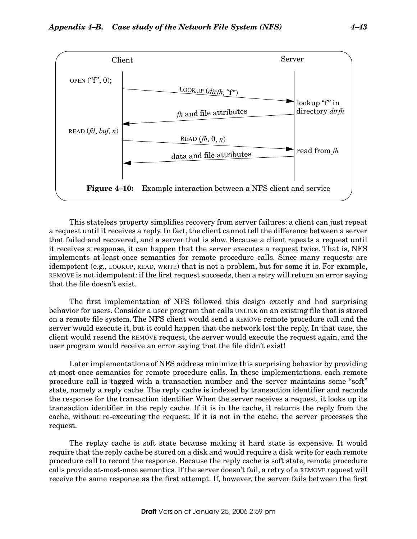

This stateless property simplifies recovery from server failures: a client can just repeat a request until it receives a reply. In fact, the client cannot tell the difference between a server that failed and recovered, and a server that is slow. Because a client repeats a request until it receives a response, it can happen that the server executes a request twice. That is, NFS implements at-least-once semantics for remote procedure calls. Since many requests are idempotent (e.g., LOOKUP, READ, WRITE) that is not a problem, but for some it is. For example, REMOVE is not idempotent: if the first request succeeds, then a retry will return an error saying that the file doesn't exist.

The first implementation of NFS followed this design exactly and had surprising behavior for users. Consider a user program that calls UNLINK on an existing file that is stored on a remote file system. The NFS client would send a REMOVE remote procedure call and the server would execute it, but it could happen that the network lost the reply. In that case, the client would resend the REMOVE request, the server would execute the request again, and the user program would receive an error saying that the file didn't exist!

Later implementations of NFS address minimize this surprising behavior by providing at-most-once semantics for remote procedure calls. In these implementations, each remote procedure call is tagged with a transaction number and the server maintains some "soft" state, namely a reply cache. The reply cache is indexed by transaction identifier and records the response for the transaction identifier. When the server receives a request, it looks up its transaction identifier in the reply cache. If it is in the cache, it returns the reply from the cache, without re-executing the request. If it is not in the cache, the server processes the request.

The replay cache is soft state because making it hard state is expensive. It would require that the reply cache be stored on a disk and would require a disk write for each remote procedure call to record the response. Because the reply cache is soft state, remote procedure calls provide at-most-once semantics. If the server doesn't fail, a retry of a REMOVE request will receive the same response as the first attempt. If, however, the server fails between the first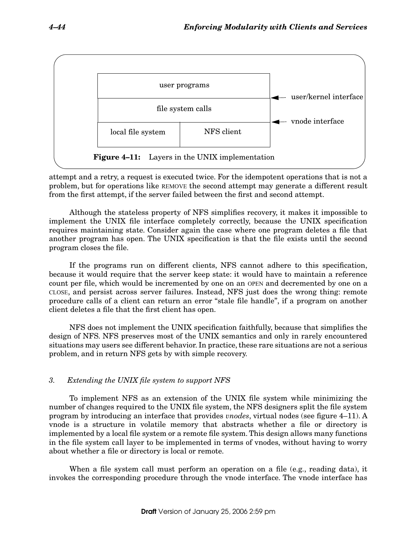

attempt and a retry, a request is executed twice. For the idempotent operations that is not a problem, but for operations like REMOVE the second attempt may generate a different result from the first attempt, if the server failed between the first and second attempt.

Although the stateless property of NFS simplifies recovery, it makes it impossible to implement the UNIX file interface completely correctly, because the UNIX specification requires maintaining state. Consider again the case where one program deletes a file that another program has open. The UNIX specification is that the file exists until the second program closes the file.

If the programs run on different clients, NFS cannot adhere to this specification, because it would require that the server keep state: it would have to maintain a reference count per file, which would be incremented by one on an OPEN and decremented by one on a CLOSE, and persist across server failures. Instead, NFS just does the wrong thing: remote procedure calls of a client can return an error "stale file handle", if a program on another client deletes a file that the first client has open.

NFS does not implement the UNIX specification faithfully, because that simplifies the design of NFS. NFS preserves most of the UNIX semantics and only in rarely encountered situations may users see different behavior. In practice, these rare situations are not a serious problem, and in return NFS gets by with simple recovery.

# 3. Extending the UNIX file system to support NFS

To implement NFS as an extension of the UNIX file system while minimizing the number of changes required to the UNIX file system, the NFS designers split the file system program by introducing an interface that provides vnodes, virtual nodes (see figure 4–11). A vnode is a structure in volatile memory that abstracts whether a file or directory is implemented by a local file system or a remote file system. This design allows many functions in the file system call layer to be implemented in terms of vnodes, without having to worry about whether a file or directory is local or remote.

When a file system call must perform an operation on a file (e.g., reading data), it invokes the corresponding procedure through the vnode interface. The vnode interface has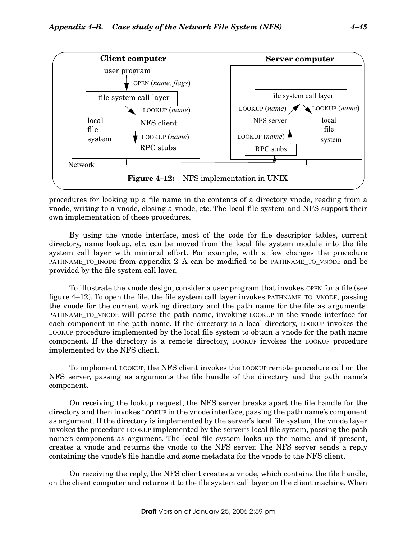

procedures for looking up a file name in the contents of a directory vnode, reading from a vnode, writing to a vnode, closing a vnode, etc. The local file system and NFS support their own implementation of these procedures.

By using the vnode interface, most of the code for file descriptor tables, current directory, name lookup, etc. can be moved from the local file system module into the file system call layer with minimal effort. For example, with a few changes the procedure PATHNAME\_TO\_INODE from appendix 2–A can be modified to be PATHNAME\_TO\_VNODE and be provided by the file system call layer.

To illustrate the vnode design, consider a user program that invokes OPEN for a file (see figure 4–12). To open the file, the file system call layer invokes PATHNAME\_TO\_VNODE, passing the vnode for the current working directory and the path name for the file as arguments. PATHNAME\_TO\_VNODE will parse the path name, invoking LOOKUP in the vnode interface for each component in the path name. If the directory is a local directory, LOOKUP invokes the LOOKUP procedure implemented by the local file system to obtain a vnode for the path name component. If the directory is a remote directory, LOOKUP invokes the LOOKUP procedure implemented by the NFS client.

To implement LOOKUP, the NFS client invokes the LOOKUP remote procedure call on the NFS server, passing as arguments the file handle of the directory and the path name's component.

On receiving the lookup request, the NFS server breaks apart the file handle for the directory and then invokes LOOKUP in the vnode interface, passing the path name's component as argument. If the directory is implemented by the server's local file system, the vnode layer invokes the procedure LOOKUP implemented by the server's local file system, passing the path name's component as argument. The local file system looks up the name, and if present, creates a vnode and returns the vnode to the NFS server. The NFS server sends a reply containing the vnode's file handle and some metadata for the vnode to the NFS client.

On receiving the reply, the NFS client creates a vnode, which contains the file handle, on the client computer and returns it to the file system call layer on the client machine. When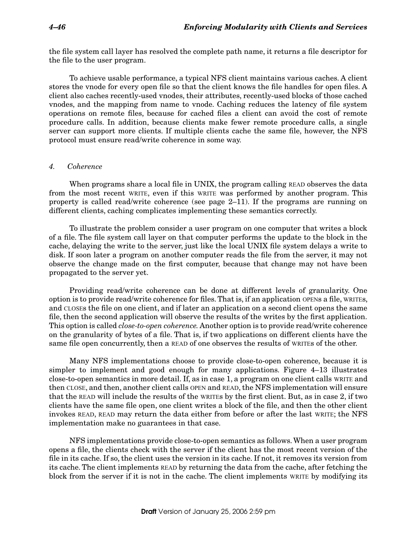the file system call layer has resolved the complete path name, it returns a file descriptor for the file to the user program.

To achieve usable performance, a typical NFS client maintains various caches. A client stores the vnode for every open file so that the client knows the file handles for open files. A client also caches recently-used vnodes, their attributes, recently-used blocks of those cached vnodes, and the mapping from name to vnode. Caching reduces the latency of file system operations on remote files, because for cached files a client can avoid the cost of remote procedure calls. In addition, because clients make fewer remote procedure calls, a single server can support more clients. If multiple clients cache the same file, however, the NFS protocol must ensure read/write coherence in some way.

#### 4. Coherence

When programs share a local file in UNIX, the program calling READ observes the data from the most recent WRITE, even if this WRITE was performed by another program. This property is called read/write coherence (see page 2–11). If the programs are running on different clients, caching complicates implementing these semantics correctly.

To illustrate the problem consider a user program on one computer that writes a block of a file. The file system call layer on that computer performs the update to the block in the cache, delaying the write to the server, just like the local UNIX file system delays a write to disk. If soon later a program on another computer reads the file from the server, it may not observe the change made on the first computer, because that change may not have been propagated to the server yet.

Providing read/write coherence can be done at different levels of granularity. One option is to provide read/write coherence for files. That is, if an application OPENs a file, WRITEs, and CLOSEs the file on one client, and if later an application on a second client opens the same file, then the second application will observe the results of the writes by the first application. This option is called close-to-open coherence. Another option is to provide read/write coherence on the granularity of bytes of a file. That is, if two applications on different clients have the same file open concurrently, then a READ of one observes the results of WRITEs of the other.

Many NFS implementations choose to provide close-to-open coherence, because it is simpler to implement and good enough for many applications. Figure 4–13 illustrates close-to-open semantics in more detail. If, as in case 1, a program on one client calls WRITE and then CLOSE, and then, another client calls OPEN and READ, the NFS implementation will ensure that the READ will include the results of the WRITEs by the first client. But, as in case 2, if two clients have the same file open, one client writes a block of the file, and then the other client invokes READ, READ may return the data either from before or after the last WRITE; the NFS implementation make no guarantees in that case.

NFS implementations provide close-to-open semantics as follows. When a user program opens a file, the clients check with the server if the client has the most recent version of the file in its cache. If so, the client uses the version in its cache. If not, it removes its version from its cache. The client implements READ by returning the data from the cache, after fetching the block from the server if it is not in the cache. The client implements WRITE by modifying its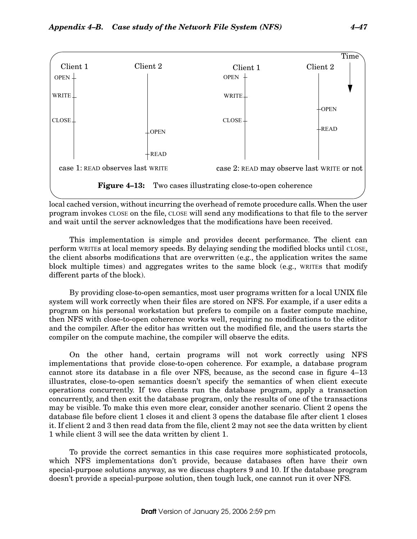

local cached version, without incurring the overhead of remote procedure calls. When the user program invokes CLOSE on the file, CLOSE will send any modifications to that file to the server and wait until the server acknowledges that the modifications have been received.

This implementation is simple and provides decent performance. The client can perform WRITEs at local memory speeds. By delaying sending the modified blocks until CLOSE, the client absorbs modifications that are overwritten (e.g., the application writes the same block multiple times) and aggregates writes to the same block (e.g., WRITEs that modify different parts of the block).

By providing close-to-open semantics, most user programs written for a local UNIX file system will work correctly when their files are stored on NFS. For example, if a user edits a program on his personal workstation but prefers to compile on a faster compute machine, then NFS with close-to-open coherence works well, requiring no modifications to the editor and the compiler. After the editor has written out the modified file, and the users starts the compiler on the compute machine, the compiler will observe the edits.

On the other hand, certain programs will not work correctly using NFS implementations that provide close-to-open coherence. For example, a database program cannot store its database in a file over NFS, because, as the second case in figure 4–13 illustrates, close-to-open semantics doesn't specify the semantics of when client execute operations concurrently. If two clients run the database program, apply a transaction concurrently, and then exit the database program, only the results of one of the transactions may be visible. To make this even more clear, consider another scenario. Client 2 opens the database file before client 1 closes it and client 3 opens the database file after client 1 closes it. If client 2 and 3 then read data from the file, client 2 may not see the data written by client 1 while client 3 will see the data written by client 1.

To provide the correct semantics in this case requires more sophisticated protocols, which NFS implementations don't provide, because databases often have their own special-purpose solutions anyway, as we discuss chapters 9 and 10. If the database program doesn't provide a special-purpose solution, then tough luck, one cannot run it over NFS.